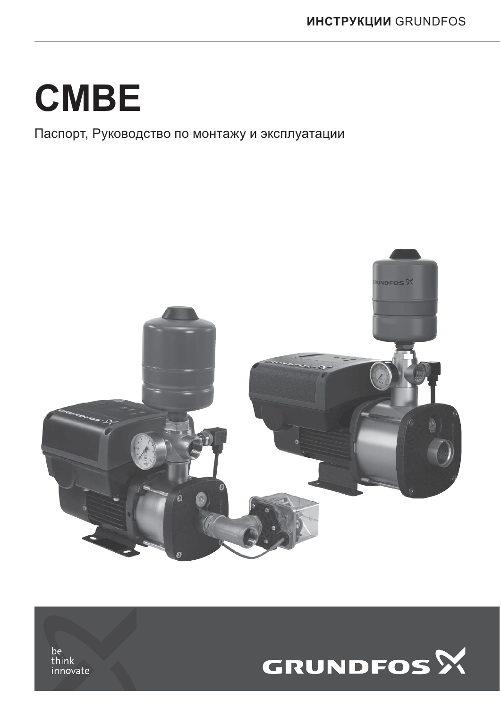## **CMBE**

Паспорт, Руководство по монтажу и эксплуатации





be<br>think innovate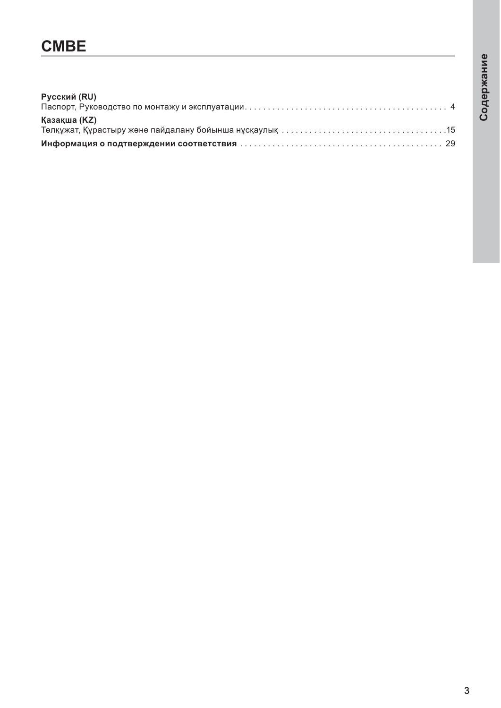# Содержание

### **CMBE**

| Русский (RU) |  |
|--------------|--|
| Қазақша (KZ) |  |
|              |  |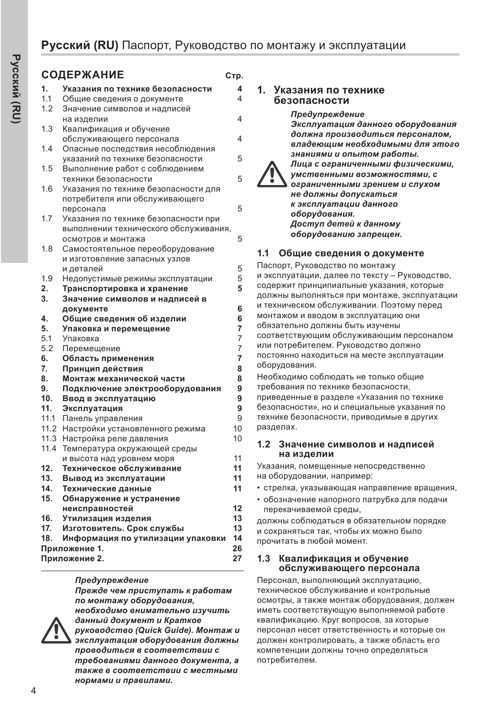#### **СОЛЕРЖАНИЕ** СТР

| 1.   | Указания по технике безопасности      | 4                       |
|------|---------------------------------------|-------------------------|
| 1.1  | Общие сведения о документе            | $\overline{\mathbf{4}}$ |
| 1.2  | Значение символов и надписей          |                         |
|      | на изделии                            | 4                       |
| 1.3  | Квалификация и обучение               |                         |
|      | обслуживающего персонала              | 4                       |
| 1.4  | Опасные последствия несоблюдения      |                         |
|      | указаний по технике безопасности      | 5                       |
| 1.5  | Выполнение работ с соблюдением        |                         |
|      | техники безопасности                  | 5                       |
| 1.6  | Указания по технике безопасности для  |                         |
|      | потребителя или обслуживающего        |                         |
|      | персонала                             | 5                       |
| 1.7  | Указания по технике безопасности при  |                         |
|      | выполнении технического обслуживания, |                         |
|      | осмотров и монтажа                    | 5                       |
| 1.8  | Самостоятельное переоборудование      |                         |
|      | и изготовление запасных узлов         |                         |
|      | и деталей                             | 5                       |
| 1.9  | Недопустимые режимы эксплуатации      | 5                       |
| 2.   | Транспортировка и хранение            | 5                       |
| 3.   | Значение символов и надписей в        |                         |
|      | документе                             | 6                       |
| 4.   | Общие сведения об изделии             | 6                       |
| 5.   | Упаковка и перемещение                | $\overline{7}$          |
| 5.1  | Упаковка                              | $\overline{7}$          |
| 5.2  | Перемещение                           | $\overline{7}$          |
| 6.   | Область применения                    | $\overline{7}$          |
| 7.   | Принцип действия                      | 8                       |
| 8.   | Монтаж механической части             | 8                       |
| 9.   | Подключение электрооборудования       | 9                       |
| 10.  | Ввод в эксплуатацию                   | 9                       |
| 11.  | Эксплуатация                          | 9                       |
| 11.1 | Панель управления                     | 9                       |
| 11.2 | Настройки установленного режима       | 10                      |
| 11.3 | Настройка реле давления               | 10                      |
| 11.4 | Температура окружающей среды          |                         |
|      | и высота над уровнем моря             | 11                      |
| 12.  | Техническое обслуживание              | 11                      |
| 13.  | Вывод из эксплуатации                 | 11                      |
| 14.  | Технические данные                    | 11                      |
| 15.  | Обнаружение и устранение              |                         |
|      | неисправностей                        | 12                      |
| 16.  | Утилизация изделия                    | 13                      |
| 17.  | Изготовитель. Срок службы             | 13                      |
| 18.  | Информация по утилизации упаковки     | 14                      |
|      | Приложение 1.                         | 26<br>27                |
|      | Приложение 2.                         |                         |
|      |                                       |                         |

#### Предупреждение

 $\Box$  *Прежде чем приступать к работам* по монтажу оборудования, **необходимо внимательно изучить**  $d$ анный документ и Краткое



 $py$ ководство (Quick Guide). Монтаж и зксплуатация оборудования должны  $\Box$ проводиться в соответствии с  $m$ ребованиями данного документа, а  $m$ акже в соответствии с местными **нормами и правилами.** 

#### 1. Указания по технике **безопасности**

Предупреждение Эксплуатация данного оборудования  $\partial$ олжна производиться персоналом. владеющим необходимыми для этого знаниями и опытом работы.  $\eta$ ица с ограниченными физическими, үмственными возможностями, с  $\alpha$ *ераниченными зрением и слухом* **не должны допускаться эксплуатации данного** *оборудования.*  $\boldsymbol{\mu}$ оступ детей к данному  $\sigma$ борудованию запрещен.

#### 1.1 Общие сведения о документе

Паспорт. Руководство по монтажу и эксплуатации, далее по тексту - Руководство, содержит принципиальные указания, которые должны выполняться при монтаже, эксплуатации и техническом обслуживании. Поэтому перед монтажом и вводом в эксплуатацию они обязательно должны быть изучены соответствующим обслуживающим персоналом или потребителем. Руководство должно постоянно находиться на месте эксплуатации оборудования. Необходимо соблюдать не только общие

требования по технике безопасности. приведенные в разделе «Указания по технике безопасности», но и специальные указания по технике безопасности, приводимые в других разделах.

#### 1.2 Значение символов и надписей на изделии

Указания, помещенные непосредственно на оборудовании, например:

- стрелка, указывающая направление вращения,
- обозначение напорного патрубка для подачи перекачиваемой среды,

должны соблюдаться в обязательном порядке и сохраняться так, чтобы их можно было прочитать в любой момент.

#### 1.3 Квалификация и обучение **• обслуживающего персонала**

Персонал, выполняющий эксплуатацию, техническое обслуживание и контрольные осмотры, а также монтаж оборудования, должен иметь соответствующую выполняемой работе квалификацию. Круг вопросов, за которые персонал несет ответственность и которые он должен контролировать, а также область его компетенции должны точно определяться потребителем.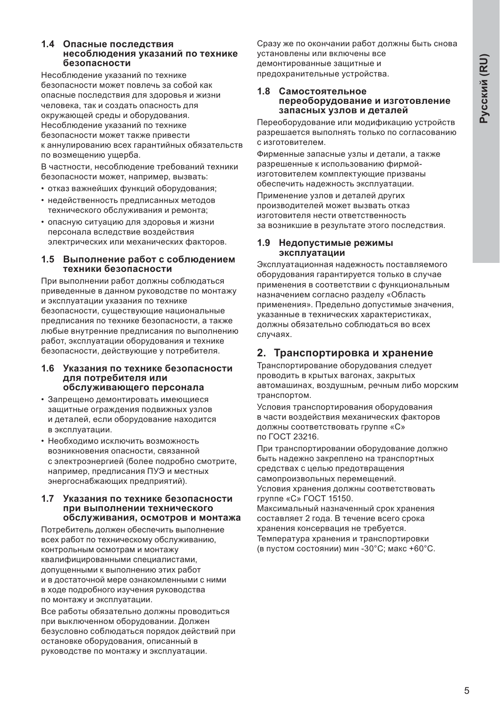#### 1.4 Опасные последствия **Несоблюдения указаний по технике безопасности**

Несоблюдение указаний по технике безопасности может повлечь за собой как опасные последствия для здоровья и жизни человека, так и создать опасность для окружающей среды и оборудования. Несоблюдение указаний по технике безопасности может также привести к аннулированию всех гарантийных обязательств по возмещению ущерба.

В частности, несоблюдение требований техники безопасности может, например, вызвать:

- отказ важнейших функций оборудования;
- недейственность предписанных методов технического обслуживания и ремонта;
- опасную ситуацию для здоровья и жизни персонала вследствие воздействия электрических или механических факторов.

#### 1.5 Выполнение работ с соблюдением техники безопасности

При выполнении работ должны соблюдаться приведенные в данном руководстве по монтажу и эксплуатации указания по технике безопасности, существующие национальные предписания по технике безопасности, а также любые внутренние предписания по выполнению работ, эксплуатации оборудования и технике безопасности, действующие у потребителя.

#### 1.6 Указания по технике безопасности для потребителя или **• обслуживающего персонала**

- Запрещено демонтировать имеющиеся защитные ограждения подвижных узлов и деталей, если оборудование находится в эксплуатации.
- Необходимо исключить возможность возникновения опасности, связанной с электроэнергией (более подробно смотрите, например, предписания ПУЭ и местных энергоснабжающих предприятий).

#### 1.7 Указания по технике безопасности при выполнении технического **• обслуживания, осмотров и монтажа**

Потребитель должен обеспечить выполнение всех работ по техническому обслуживанию, контрольным осмотрам и монтажу квалифицированными специалистами. допущенными к выполнению этих работ и в достаточной мере ознакомленными с ними в ходе подробного изучения руководства по монтажу и эксплуатации.

Все работы обязательно должны проводиться при выключенном оборудовании. Должен безусловно соблюдаться порядок действий при остановке оборудования, описанный в руководстве по монтажу и эксплуатации.

Сразу же по окончании работ должны быть снова установлены или включены все демонтированные защитные и предохранительные устройства.

#### 1.8 Самостоятельное переоборудование и изготовление запасных узлов и деталей

Переоборудование или модификацию устройств разрешается выполнять только по согласованию с изготовителем.

Фирменные запасные узлы и детали, а также разрешенные к использованию фирмойизготовителем комплектующие призваны обеспечить надежность эксплуатации.

Применение узлов и деталей других производителей может вызвать отказ изготовителя нести ответственность за возникшие в результате этого последствия.

#### 1.9 **Недопустимые режимы эксплуатации**

Эксплуатационная надежность поставляемого оборудования гарантируется только в случае применения в соответствии с функциональным назначением согласно разделу «Область применения». Предельно допустимые значения, указанные в технических характеристиках, должны обязательно соблюдаться во всех случаях.

#### 2. Транспортировка и хранение

Транспортирование оборудования следует проводить в крытых вагонах, закрытых автомашинах, воздушным, речным либо морским транспортом.

Условия транспортирования оборудования в части воздействия механических факторов должны соответствовать группе «С» по ГОСТ 23216.

При транспортировании оборудование должно быть надежно закреплено на транспортных средствах с целью предотвращения самопроизвольных перемещений.

Условия хранения должны соответствовать группе «С» ГОСТ 15150.

Максимальный назначенный срок хранения составляет 2 года. В течение всего срока хранения консервация не требуется. Температура хранения и транспортировки (в пустом состоянии) мин -30°С; макс +60°С.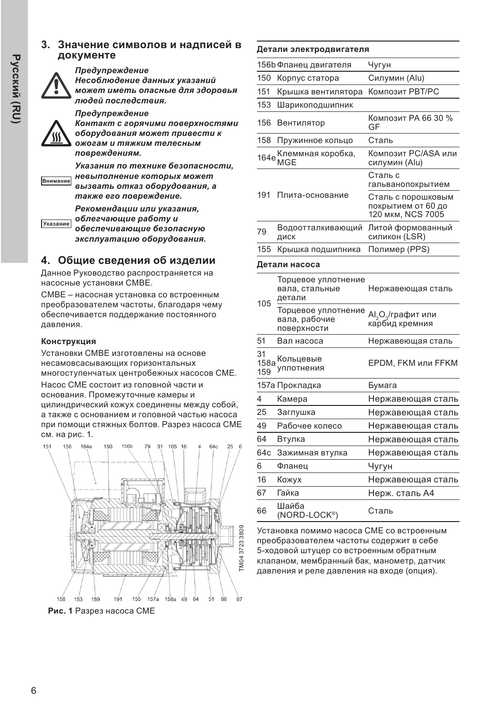#### 3. Значение символов и надписей в документе



#### **Предупреждение**

Несоблюдение данных указаний  $M$ ожет иметь опасные для здоровья людей последствия.

**Предупреждение** 

Контакт с горячими поверхностями  $\boldsymbol{\delta}$ борудования может привести к  $\alpha$ **жогам и тяжким телесным** повреждениям.

**Внимание** Указания по технике безопасности. **НЕВЫПОЛНЕНИЕ КОТОРЫХ МОЖЕТ**  $B$ *Bb<sub>13</sub>*8amb отказ оборудования, а также его повреждение.

> $P$ екомендации или указания,  $\boldsymbol{1}$  облегчающие работу и

**Указание**  $o$ *беспечивающие* безопасную эксплуатацию оборудования.

#### 4. Общие сведения об изделии

Данное Руководство распространяется на насосные установки СМВЕ.

СМВЕ - насосная установка со встроенным преобразователем частоты, благодаря чему обеспечивается поддержание постоянного давления.

#### Конструкция

Установки СМВЕ изготовлены на основе несамовсасывающих горизонтальных многоступенчатых центробежных насосов СМЕ. Насос СМЕ состоит из головной части и основания. Промежуточные камеры и цилиндрический кожух соединены между собой,

а также с основанием и головной частью насоса при помощи стяжных болтов. Разрез насоса СМЕ см. на рис. 1.



Рис. 1 Разрез насоса СМЕ

#### Детали электродвигателя

|     | 156b Фланец двигателя             | Чугун                                                         |
|-----|-----------------------------------|---------------------------------------------------------------|
| 150 | Корпус статора                    | Силумин (Alu)                                                 |
| 151 | Крышка вентилятора                | Композит PBT/PC                                               |
| 153 | Шарикоподшипник                   |                                                               |
| 156 | Вентилятор                        | Композит РА 66 30 %<br>GF                                     |
| 158 | Пружинное кольцо                  | Сталь                                                         |
|     | 164е Клеммная коробка,<br><br>MGE | Композит PC/ASA или<br>силумин (Alu)                          |
|     |                                   | Сталь с<br>гальванопокрытием                                  |
| 191 | Плита-основание                   | Сталь с порошковым<br>покрытием от 60 до<br>120 мкм, NCS 7005 |
| 79  | Водоотталкивающий<br>ДИСК         | Литой формованный<br>силикон (LSR)                            |
| 155 | Крышка подшипника                 | Полимер (PPS)                                                 |
|     |                                   |                                                               |

#### Детали насоса

| 105               | Торцевое уплотнение<br>вала, стальные<br>детали     | Нержавеющая сталь                                            |
|-------------------|-----------------------------------------------------|--------------------------------------------------------------|
|                   | Торцевое уплотнение<br>вала, рабочие<br>поверхности | Al <sub>2</sub> O <sub>3</sub> /графит или<br>карбид кремния |
| 51                | Вал насоса                                          | Нержавеющая сталь                                            |
| 31<br>158a<br>159 | Кольцевые<br>уплотнения                             | <b>EPDM, FKM или FFKM</b>                                    |
|                   | 157а Прокладка                                      | Бумага                                                       |
| 4                 | Камера                                              | Нержавеющая сталь                                            |
| 25                | Заглушка                                            | Нержавеющая сталь                                            |
| 49                | Рабочее колесо                                      | Нержавеющая сталь                                            |
| 64                | Втулка                                              | Нержавеющая сталь                                            |
| 64c               | Зажимная втулка                                     | Нержавеющая сталь                                            |
| 6                 | Фланец                                              | Чугун                                                        |
| 16                | Кожух                                               | Нержавеющая сталь                                            |
| 67                | Гайка                                               | Нерж. сталь А4                                               |
| 66                | Шайба<br>(NORD-LOCK®)                               | Сталь                                                        |

Установка помимо насоса СМЕ со встроенным преобразователем частоты содержит в себе 5-ходовой штуцер со встроенным обратным клапаном, мембранный бак, манометр, датчик давления и реле давления на входе (опция).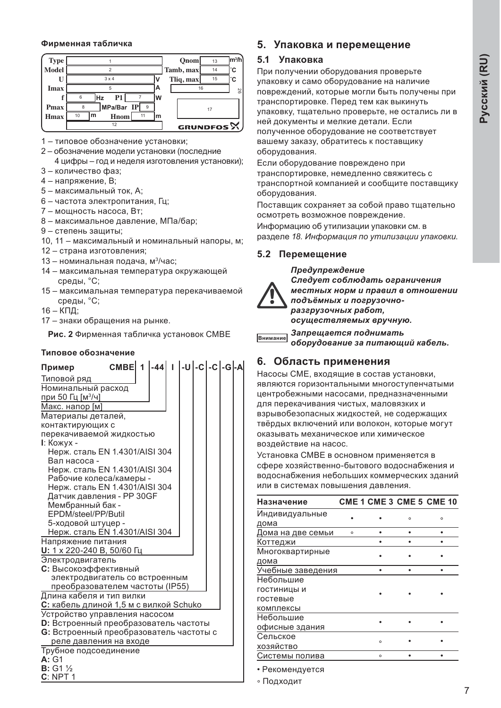#### Фирменная табличка



1 - типовое обозначение установки;

- 2 обозначение модели установки (последние 4 цифры - год и неделя изготовления установки);
- 3 количество фаз;
- 4 напряжение, В;
- 5 максимальный ток. А:
- $6 -$ частота электропитания. Гц.
- 7 мощность насоса, Вт:
- $8 -$ максимальное давление, МПа/бар;
- 9 степень защиты;
- 10, 11 максимальный и номинальный напоры, м;
- 12 страна изготовления;
- 13 номинальная подача, м<sup>3</sup>/час;
- 14 максимальная температура окружающей среды, °С:
- 15 максимальная температура перекачиваемой среды, °С;
- $16 K\Pi$ :
- 17 знаки обращения на рынке.

Рис. 2 Фирменная табличка установок СМВЕ

#### **Типовое обозначение**

| Пример                                       | CMBE $1$ $-44$ $1$ $-U$ $-c$ $-c$ $-G$ $-A$ |  |  |  |  |  |  |  |
|----------------------------------------------|---------------------------------------------|--|--|--|--|--|--|--|
| Типовой ряд                                  |                                             |  |  |  |  |  |  |  |
| Номинальный расход                           |                                             |  |  |  |  |  |  |  |
| при 50 Гц [м <sup>3/ч</sup> ]                |                                             |  |  |  |  |  |  |  |
| Макс. напор [м]                              |                                             |  |  |  |  |  |  |  |
| Материалы деталей,                           |                                             |  |  |  |  |  |  |  |
| контактирующих с                             |                                             |  |  |  |  |  |  |  |
| перекачиваемой жидкостью                     |                                             |  |  |  |  |  |  |  |
| I: Кожух -                                   |                                             |  |  |  |  |  |  |  |
| Нерж. сталь EN 1.4301/AISI 304               |                                             |  |  |  |  |  |  |  |
| Вал насоса -                                 |                                             |  |  |  |  |  |  |  |
| Нерж. сталь EN 1.4301/AISI 304               |                                             |  |  |  |  |  |  |  |
| Рабочие колеса/камеры -                      |                                             |  |  |  |  |  |  |  |
| Нерж. сталь EN 1.4301/AISI 304               |                                             |  |  |  |  |  |  |  |
| Датчик давления - PP 30GF                    |                                             |  |  |  |  |  |  |  |
| Мембранный бак -                             |                                             |  |  |  |  |  |  |  |
| EPDM/steel/PP/Butil                          |                                             |  |  |  |  |  |  |  |
| 5-ходовой штуцер -                           |                                             |  |  |  |  |  |  |  |
| <u>Нерж. сталь EN 1.4301/AISI 304</u>        |                                             |  |  |  |  |  |  |  |
| Напряжение питания                           |                                             |  |  |  |  |  |  |  |
| U: 1 х 220-240 В, 50/60 Гц                   |                                             |  |  |  |  |  |  |  |
| Электродвигатель                             |                                             |  |  |  |  |  |  |  |
| С: Высокоэффективный                         |                                             |  |  |  |  |  |  |  |
| электродвигатель со встроенным               |                                             |  |  |  |  |  |  |  |
| <u>преобразователем частоты (IP55)</u>       |                                             |  |  |  |  |  |  |  |
| Длина кабеля и тип вилки                     |                                             |  |  |  |  |  |  |  |
| С: кабель длиной 1,5 м с вилкой Schuko       |                                             |  |  |  |  |  |  |  |
| Устройство управления насосом                |                                             |  |  |  |  |  |  |  |
| <b>D:</b> Встроенный преобразователь частоты |                                             |  |  |  |  |  |  |  |
| G: Встроенный преобразователь частоты с      |                                             |  |  |  |  |  |  |  |
| реле давления на входе                       |                                             |  |  |  |  |  |  |  |
| Трубное подсоединение                        |                                             |  |  |  |  |  |  |  |
| A:G1                                         |                                             |  |  |  |  |  |  |  |
| <b>B</b> : G1 $\%$                           |                                             |  |  |  |  |  |  |  |
| C: NPT1                                      |                                             |  |  |  |  |  |  |  |

#### 5. Упаковка и перемещение

#### 5.1 Упаковка

При получении оборудования проверьте упаковку и само оборудование на наличие повреждений, которые могли быть получены при транспортировке. Перед тем как выкинуть упаковку, тщательно проверьте, не остались ли в ней документы и мелкие детали. Если полученное оборудование не соответствует вашему заказу, обратитесь к поставщику оборудования.

Если оборудование повреждено при транспортировке, немедленно свяжитесь с транспортной компанией и сообщите поставщику оборудования.

Поставщик сохраняет за собой право тщательно осмотреть возможное повреждение.

Информацию об утилизации упаковки см. в разделе 18. Информация по утилизации упаковки.

#### 5.2 Перемещение

#### Предупреждение

 $C$ ледует соблюдать ограничения  $ME$ *cmных норм и правил в отношении*  $\overline{h}$ одъёмных и погрузочно $pa$ згрузочных работ,  $\alpha$ *cyществляемых вручную.* 

**<del>区HИМАНИӨ</del>** Запрещается поднимать  $\delta$ борудование за питающий кабель.

#### $6.$  Область применения

Насосы СМЕ, входящие в состав установки, являются горизонтальными многоступенчатыми центробежными насосами, предназначенными для перекачивания чистых, маловязких и взрывобезопасных жидкостей, не содержащих твёрдых включений или волокон, которые могут оказывать механическое или химическое воздействие на насос.

Установка СМВЕ в основном применяется в сфере хозяйственно-бытового водоснабжения и водоснабжения небольших коммерческих зданий или в системах повышения давления.

| Назначение        |         |         |         | <b>CME 1 CME 3 CME 5 CME 10</b> |
|-------------------|---------|---------|---------|---------------------------------|
| Индивидуальные    |         |         | $\circ$ | $\circ$                         |
| дома              |         |         |         |                                 |
| Дома на две семьи | $\circ$ |         |         |                                 |
| Коттеджи          |         |         |         |                                 |
| Многоквартирные   |         |         |         |                                 |
| дома              |         |         |         |                                 |
| Учебные заведения |         |         |         |                                 |
| Небольшие         |         |         |         |                                 |
| гостиницы и       |         |         |         |                                 |
| гостевые          |         |         |         |                                 |
| комплексы         |         |         |         |                                 |
| Небольшие         |         |         |         |                                 |
| офисные здания    |         |         |         |                                 |
| Сельское          |         |         |         |                                 |
| хозяйство         |         | $\circ$ |         |                                 |
| Системы полива    |         | $\circ$ |         |                                 |
|                   |         |         |         |                                 |

• Рекомендуется

• Подходит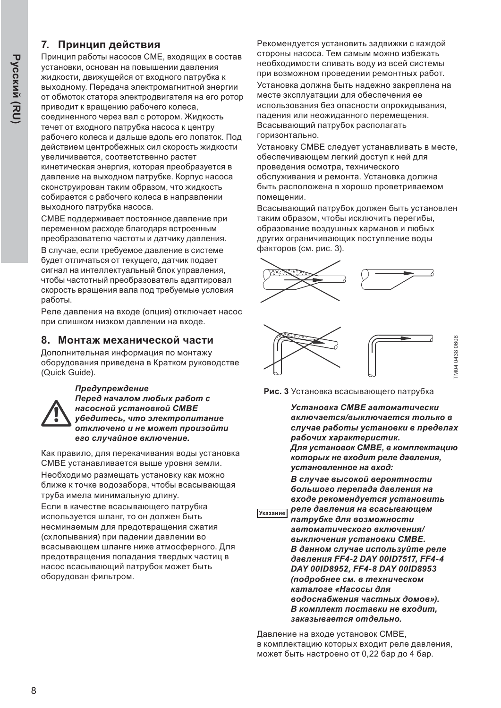#### 7. Принцип действия

Принцип работы насосов СМЕ, входящих в состав установки, основан на повышении давления жидкости, движущейся от входного патрубка к выходному. Передача электромагнитной энергии от обмоток статора электродвигателя на его ротор приводит к врашению рабочего колеса. соединенного через вал с ротором. Жидкость течет от входного патрубка насоса к центру рабочего колеса и дальше вдоль его лопаток. Под действием центробежных сил скорость жидкости увеличивается, соответственно растет кинетическая энергия, которая преобразуется в давление на выходном патрубке. Корпус насоса сконструирован таким образом, что жидкость собирается с рабочего колеса в направлении выходного патрубка насоса.

СМВЕ поддерживает постоянное давление при переменном расходе благодаря встроенным преобразователю частоты и датчику давления. В случае, если требуемое давление в системе будет отличаться от текущего, датчик подает сигнал на интеллектуальный блок управления, чтобы частотный преобразователь адаптировал скорость вращения вала под требуемые условия работы.

Реле давления на входе (опция) отключает насос при слишком низком давлении на входе.

#### 8. Монтаж механической части

Дополнительная информация по монтажу оборудования приведена в Кратком руководстве (Quick Guide).



#### Предупреждение

 $\Pi$ еред началом любых работ с **НАСОСНОЙ УСМАНОВКОЙ СМВЕ**  $y$ бедитесь, что электропитание  $\boldsymbol{a}$  **и не может произойти**  $e$ го случайное включение.

Как правило, для перекачивания воды установка СМВЕ устанавливается выше уровня земли. Необходимо размещать установку как можно ближе к точке водозабора, чтобы всасывающая труба имела минимальную длину.

Если в качестве всасывающего патрубка используется шланг, то он должен быть несминаемым для предотвращения сжатия (схлопывания) при падении давлении во всасывающем шланге ниже атмосферного. Для предотвращения попадания твердых частиц в насос всасывающий патрубок может быть оборудован фильтром.

Рекомендуется установить задвижки с каждой стороны насоса. Тем самым можно избежать необходимости сливать воду из всей системы при возможном проведении ремонтных работ.

Установка должна быть надежно закреплена на месте эксплуатации для обеспечения ее использования без опасности опрокидывания, падения или неожиданного перемещения. Всасывающий патрубок располагать горизонтально.

Установку СМВЕ следует устанавливать в месте, обеспечивающем легкий доступ к ней для проведения осмотра, технического обслуживания и ремонта. Установка должна быть расположена в хорошо проветриваемом помещении.

Всасывающий патрубок должен быть установлен таким образом, чтобы исключить перегибы, образование воздушных карманов и любых других ограничивающих поступление воды факторов (см. рис. 3).





Рис. 3 Установка всасывающего патрубка

Установка СМВЕ автоматически  $8$ *ключается/выключается только* в  $c$ лучае работы установки в пределах  $pa6$ *очих характеристик.*  $\Box$ ля установок СМВЕ, в комплектацию  $*kemob*$  *<i>ие входит реле давления.* установленное на вход:

 $B$  случае высокой вероятности  $6$ ольшого перепада давления на **дуется установить** 

**V**казание  $pi$ eле давления на всасывающем  $\overline{h}$ атрубке для возможности  $a$ втоматического включения/ *BЫКЛЮЧЕНИЯ УСМАНОВКИ СМВЕ.*  $B$  данном случае используйте реле  $d$ авления FF4-2 DAY 00ID7517, FF4-4 **DAY 00ID8952, FF4-8 DAY 00ID8953**  $($ подробнее см. в техническом *ɤɚɬɚɥɨɝɟ ©ɇɚɫɨɫɵ ɞɥɹ*  $\theta$ *водоснабжения частных домов»).*  $B$  *комплект* поставки не входит. заказывается **отдельно**.

Давление на входе установок СМВЕ. в комплектацию которых входит реле давления, может быть настроено от 0,22 бар до 4 бар.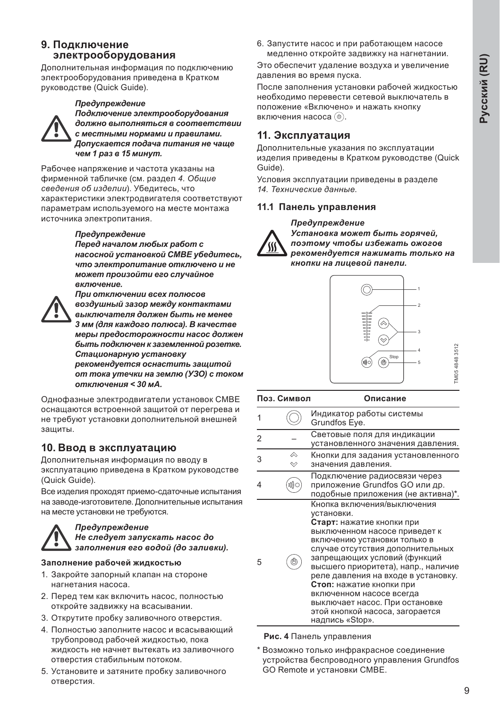#### **9.** Подключение электрооборудования

Дополнительная информация по подключению электрооборудования приведена в Кратком руководстве (Quick Guide).

#### **Предупреждение**



Подключение электрооборудования  $d$ олжно выполняться в соответствии  **местными нормами и правилами.**  $\bm{\mu}$ опускается подача питания не чаше **чем 1 раз в 15 минут.** 

Рабочее напряжение и частота указаны на фирменной табличке (см. раздел 4. Общие  $c$ *ведения об изделии*). Убедитесь, что характеристики электродвигателя соответствуют параметрам используемого на месте монтажа источника электропитания.

 $\Pi$ ри отключении всех полюсов

#### **Предупреждение**

 $\overline{I}$ еред началом любых работ с **насосной установкой СМВЕ убедитесь, что электропитание отключено и не**  $M$ <sub>*M*O</sub><sup> $M$ </sup>  $M$ *pouзoŭmu его случайное* включение.



 $\boldsymbol{s}$  $\boldsymbol{o}$ *здушный зазор между контактами*  $B$ *BIKЛЮЧАТЕЛЯ должен быть не менее* 3 мм (для каждого полюса). В качестве  $M$ еры предосторожности насос должен  $6$ ыть подключен к заземленной розетке. Стационарную установку  $\bm{p}$ екомендуется оснастить зашитой  $om$  *moka утечки на землю (УЗО) с током* **отключения < 30 мА.** 

Однофазные электродвигатели установок СМВЕ оснащаются встроенной защитой от перегрева и не требуют установки дополнительной внешней защиты.

#### 10. Ввод в эксплуатацию

Дополнительная информация по вводу в эксплуатацию приведена в Кратком руководстве (Quick Guide).

Все изделия проходят приемо-сдаточные испытания на заводе-изготовителе. Дополнительные испытания на месте установки не требуются.



#### Предупреждение  $He$  *cnedyem запускать насос до* заполнения его водой (до заливки).

#### Заполнение рабочей жидкостью

- 1. Закройте запорный клапан на стороне нагнетания насоса.
- 2. Перед тем как включить насос, полностью откройте задвижку на всасывании.
- 3. Открутите пробку заливочного отверстия.
- 4. Полностью заполните насос и всасывающий трубопровод рабочей жидкостью, пока жидкость не начнет вытекать из заливочного отверстия стабильным потоком.
- 5. Установите и затяните пробку заливочного отверстия.

6. Запустите насос и при работающем насосе медленно откройте задвижку на нагнетании.

Это обеспечит удаление воздуха и увеличение давления во время пуска.

После заполнения установки рабочей жидкостью необходимо перевести сетевой выключатель в положение «Включено» и нажать кнопку включения насоса (<sup>®)</sup>.

#### **11. Эксплуатация**

Дополнительные указания по эксплуатации изделия приведены в Кратком руководстве (Quick Guide).

Условия эксплуатации приведены в разделе 14. Технические данные.

#### 11.1 Панель управления



**Предупреждение** Установка может быть горячей,  $\overline{h}$ оэтому чтобы избежать ожогов  $pe$ *комендуется нажимать только на* **кнопки на лицевой панели.** 



TM05 4848 3512

TM05 4848 3512

#### Поз. Символ Описание

| 1 |           | Индикатор работы системы<br>Grundfos Eye.                                                                                                                                                                                                                                                                                                                                                                                                 |
|---|-----------|-------------------------------------------------------------------------------------------------------------------------------------------------------------------------------------------------------------------------------------------------------------------------------------------------------------------------------------------------------------------------------------------------------------------------------------------|
| 2 |           | Световые поля для индикации<br>установленного значения давления.                                                                                                                                                                                                                                                                                                                                                                          |
| 3 | <i></i> △ | Кнопки для задания установленного<br>значения давления.                                                                                                                                                                                                                                                                                                                                                                                   |
| 4 |           | Подключение радиосвязи через<br>приложение Grundfos GO или др.<br>подобные приложения (не активна)*.                                                                                                                                                                                                                                                                                                                                      |
| 5 |           | Кнопка включения/выключения<br>установки.<br>Старт: нажатие кнопки при<br>выключенном насосе приведет к<br>включению установки только в<br>случае отсутствия дополнительных<br>запрещающих условий (функций<br>высшего приоритета), напр., наличие<br>реле давления на входе в установку.<br>Стоп: нажатие кнопки при<br>включенном насосе всегда<br>выключает насос. При остановке<br>этой кнопкой насоса, загорается<br>надпись «Stop». |

#### Рис. 4 Панель управления

Возможно только инфракрасное соединение устройства беспроводного управления Grundfos GO Remote и установки СМВЕ.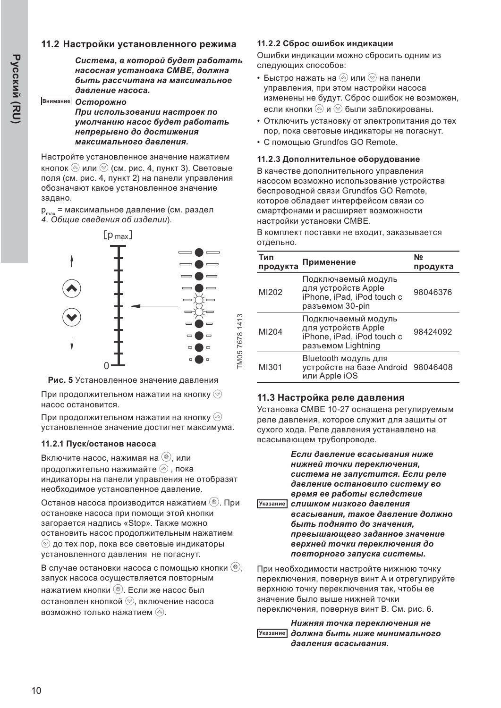#### 11.2 Настройки установленного режима

 $Cucmema, a komopoŭ Gydem pa6o**mann**$ **насосная установка СМВЕ, должна**  $6$ ыть рассчитана на максимальное  $d$ авление насоса.

#### Внимание **Осторожно**

При использовании настроек по умолчанию насос будет работать **Иепрерывно до достижения** *ɦɚɤɫɢɦɚɥɶɧɨɝɨ ɞɚɜɥɟɧɢɹ*

Настройте установленное значение нажатием кнопок  $\circledcirc$  или  $\circledcirc$  (см. рис. 4, пункт 3). Световые поля (см. рис. 4, пункт 2) на панели управления обозначают какое установленное значение задано.

 $p_{max}$  = максимальное давление (см. раздел  $\overline{4}$ . Общие сведения об изделии).



Рис. 5 Установленное значение давления

При продолжительном нажатии на кнопку $\circledcirc$ насос остановится.

При продолжительном нажатии на кнопку  $\circledcirc$ установленное значение достигнет максимума.

#### 11.2.1 Пуск/останов насоса

Включите насос. нажимая на (<sup>®</sup>), или продолжительно нажимайте  $\textcircled{\tiny{\textcircled{\tiny\textcirc}}}$ , пока индикаторы на панели управления не отобразят необходимое установленное давление.

Останов насоса производится нажатием (<sup>®</sup>). При остановке насоса при помощи этой кнопки загорается надпись «Stop». Также можно остановить насос продолжительным нажатием  $\circledcirc$  до тех пор, пока все световые индикаторы установленного давления не погаснут.

В случае остановки насоса с помощью кнопки  $(\mathcal{O})$ , запуск насоса осуществляется повторным нажатием кнопки (<sup>®</sup>). Если же насос был остановлен кнопкой (2), включение насоса возможно только нажатием  $\textcircled{\tiny{\textcircled{\tiny{A}}}}$ .

#### 11.2.2 Сброс ошибок индикации

Ошибки индикации можно сбросить одним из следующих способов:

- Быстро нажать на  $@$  или  $@$  на панели управления, при этом настройки насоса изменены не будут. Сброс ошибок не возможен, если кнопки  $\textcircled*$ и  $\textcircled*$  были заблокированы.
- Отключить установку от электропитания до тех пор, пока световые индикаторы не погаснут.
- С помощью Grundfos GO Remote.

#### 11.2.3 Дополнительное оборудование

В качестве дополнительного управления насосом возможно использование устройства беспроводной связи Grundfos GO Remote. которое обладает интерфейсом связи со смартфонами и расширяет возможности настройки установки СМВЕ.

В комплект поставки не входит, заказывается отдельно.

| Тип<br>продукта | Применение                                                                                     | Nº<br>продукта |
|-----------------|------------------------------------------------------------------------------------------------|----------------|
| MI202           | Подключаемый модуль<br>для устройств Apple<br>iPhone, iPad, iPod touch c<br>разъемом 30-pin    | 98046376       |
| MI204           | Подключаемый модуль<br>для устройств Apple<br>iPhone, iPad, iPod touch c<br>разъемом Lightning | 98424092       |
| MI301           | Bluetooth модуль для<br>устройств на базе Android<br>или Apple iOS                             | 98046408       |

#### 11.3 Настройка реле давления

Установка СМВЕ 10-27 оснащена регулируемым реле давления, которое служит для защиты от сухого хода. Реле давления устанавлено на всасывающем трубопроводе.

**указание**  $E$ сли давление всасывания ниже **нижней точки переключения,**  $c$ истема не запустится. Если реле  $d$ авление остановило систему во  $B$  *время ее работы вследствие*  $$ *ɜɫɚɫɵɜɚɧɢɹ ɬɚɤɨɟ ɞɚɜɥɟɧɢɟ ɞɨɥɠɧɨ*  $6$ *ыть поднято до значения. ɩɪɟɜɵɲɚɸɳɟɝɨ ɡɚɞɚɧɧɨɟ ɡɧɚɱɟɧɢɟ*  $\epsilon$ ерхней точки переключения до  $n$ овторного запуска системы.

При необходимости настройте нижнюю точку переключения, повернув винт А и отрегулируйте верхнюю точку переключения так, чтобы ее значение было выше нижней точки переключения, повернув винт В. См. рис. 6.

#### <u>Указание должна быть ниже минимального</u>  $H$ ижняя точка переключения не  $d$ авления всасывания.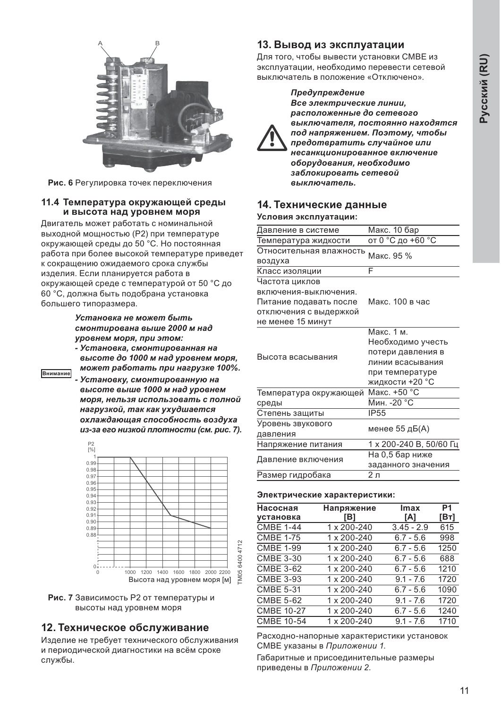

Рис. 6 Регулировка точек переключения

#### 11.4 Температура окружающей среды и высота над уровнем моря

Двигатель может работать с номинальной выходной мощностью (P2) при температуре окружающей среды до 50 °С. Но постоянная работа при более высокой температуре приведет к сокращению ожидаемого срока службы изделия. Если планируется работа в окружающей среде с температурой от 50 °С до 60 °С, должна быть подобрана установка большего типоразмера.

> *ɍɫɬɚɧɨɜɤɚ ɧɟ ɦɨɠɟɬ ɛɵɬɶ*  $CMOH$ <sub>*MUDOBAHA BЫШе 2000 м над*</sub>  $Y$ ровнем моря, при этом:

- **Установка, смонтированная на**  $B<sub>6</sub>$  *высоте до 1000 м над уровнем моря,*  $M$ *<i>M*  $\alpha$ <sup>*k*</sup> *B a Gomamь при нагрузке 100%.*
- **Внимание • Установку, смонтированную на**  $B<sub>6</sub>$  *Bbicome выше 1000 м над уровнем*  $MODR.$  *Нельзя использовать с полной* **нагрузкой, так как ухудшается**  $\alpha$ **хлаждающая способность воздуха**  $u$ з-за его низкой плотности (см. рис. 7).



Рис. 7 Зависимость Р2 от температуры и высоты над уровнем моря

#### 12. Техническое обслуживание

Изделие не требует технического обслуживания и периодической диагностики на всём сроке службы.

#### 13. Вывод из эксплуатации

Для того, чтобы вывести установки СМВЕ из эксплуатации, необходимо перевести сетевой выключатель в положение «Отключено».



Предупреждение Все электрические линии,  $pa$ *сположенные до сетевого* выключателя, постоянно находятся  $\overline{h}$ од напряжением. Поэтому, чтобы  $n$ *предотвратить случайное или ɧɟɫɚɧɤɰɢɨɧɢɪɨɜɚɧɧɨɟ ɜɤɥɸɱɟɧɢɟ*  $\overline{a}$ борудования, необходимо заблокировать сетевой выключатель.

#### 14. Технические данные

#### Условия эксплуатации:

| Давление в системе      | Макс. 10 бар            |  |  |
|-------------------------|-------------------------|--|--|
| Температура жидкости    | от 0 °С до +60 °С       |  |  |
| Относительная влажность | Макс. 95 %              |  |  |
| воздуха                 |                         |  |  |
| Класс изоляции          | F                       |  |  |
| Частота циклов          |                         |  |  |
| включения-выключения.   |                         |  |  |
| Питание подавать после  | Макс. 100 в час         |  |  |
| отключения с выдержкой  |                         |  |  |
| не менее 15 минут       |                         |  |  |
|                         | Макс. 1 м.              |  |  |
|                         | Необходимо учесть       |  |  |
| Высота всасывания       | потери давления в       |  |  |
|                         | линии всасывания        |  |  |
|                         | при температуре         |  |  |
|                         | жидкости +20 °С         |  |  |
| Температура окружающей  | Макс. +50 °С            |  |  |
| среды                   | Мин. - 20 °С            |  |  |
| Степень защиты          | <b>IP55</b>             |  |  |
| Уровень звукового       |                         |  |  |
| давления                | менее 55 дБ(А)          |  |  |
| Напряжение питания      | 1 х 200-240 В, 50/60 Гц |  |  |
|                         | На 0,5 бар ниже         |  |  |
| Давление включения      | заданного значения      |  |  |
| Размер гидробака        | 2 л                     |  |  |
|                         |                         |  |  |

#### Электрические характеристики:

| Насосная          | Напряжение  | Imax         | P <sub>1</sub><br>[Bт] |
|-------------------|-------------|--------------|------------------------|
| установка         | [B]         | [A]          |                        |
| <b>CMBE 1-44</b>  | 1 x 200-240 | $3.45 - 2.9$ | 615                    |
| <b>CMBE 1-75</b>  | 1 x 200-240 | $6.7 - 5.6$  | 998                    |
| <b>CMBE 1-99</b>  | 1 x 200-240 | $6.7 - 5.6$  | 1250                   |
| <b>CMBE 3-30</b>  | 1 x 200-240 | $6.7 - 5.6$  | 688                    |
| <b>CMBE 3-62</b>  | 1 x 200-240 | $6.7 - 5.6$  | 1210                   |
| <b>CMBE 3-93</b>  | 1 x 200-240 | $9.1 - 7.6$  | 1720                   |
| <b>CMBE 5-31</b>  | 1 x 200-240 | $6.7 - 5.6$  | 1090                   |
| <b>CMBE 5-62</b>  | 1 x 200-240 | $9.1 - 7.6$  | 1720                   |
| <b>CMBE 10-27</b> | 1 x 200-240 | $6.7 - 5.6$  | 1240                   |
| <b>CMBE 10-54</b> | 1 x 200-240 | $9.1 - 7.6$  | 1710                   |

Расходно-напорные характеристики установок СМВЕ указаны в *Приложении 1*.

Габаритные и присоединительные размеры приведены в *Приложении 2*.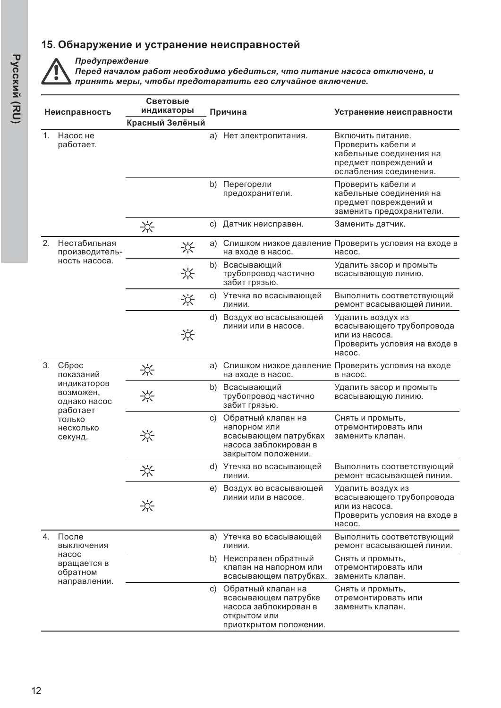#### 15. Обнаружение и устранение неисправностей



Предупреждение

 $\overline{A}$ еред началом работ необходимо убедиться, что питание насоса отключено, и тринять меры, чтобы предотвратить его случайное включение.

| Неисправность  |                                                                                                              | Световые<br>индикаторы | Причина |                                                                                                                  | Устранение неисправности                                                                                              |  |
|----------------|--------------------------------------------------------------------------------------------------------------|------------------------|---------|------------------------------------------------------------------------------------------------------------------|-----------------------------------------------------------------------------------------------------------------------|--|
|                |                                                                                                              | Красный Зелёный        |         |                                                                                                                  |                                                                                                                       |  |
| 1 <sup>1</sup> | Насос не<br>работает.                                                                                        |                        |         | а) Нет электропитания.                                                                                           | Включить питание.<br>Проверить кабели и<br>кабельные соединения на<br>предмет повреждений и<br>ослабления соединения. |  |
|                |                                                                                                              |                        | b)      | Перегорели<br>предохранители.                                                                                    | Проверить кабели и<br>кабельные соединения на<br>предмет повреждений и<br>заменить предохранители.                    |  |
|                |                                                                                                              | ☆                      | C)      | Датчик неисправен.                                                                                               | Заменить датчик.                                                                                                      |  |
| 2.             | Нестабильная<br>производитель-                                                                               | ☆                      | a)      | на входе в насос.                                                                                                | Слишком низкое давление Проверить условия на входе в<br>насос.                                                        |  |
|                | ность насоса.                                                                                                | ☆                      | b)      | Всасывающий<br>трубопровод частично<br>забит грязью.                                                             | Удалить засор и промыть<br>всасывающую линию.                                                                         |  |
|                |                                                                                                              | ☆                      | C)      | Утечка во всасывающей<br>линии.                                                                                  | Выполнить соответствующий<br>ремонт всасывающей линии.                                                                |  |
|                |                                                                                                              | ⊰്⊱                    |         | d) Воздух во всасывающей<br>линии или в насосе.                                                                  | Удалить воздух из<br>всасывающего трубопровода<br>или из насоса.<br>Проверить условия на входе в<br>Hacoc.            |  |
| 3.             | Сброс<br>показаний<br>индикаторов<br>возможен,<br>однако насос<br>работает<br>ТОЛЬКО<br>несколько<br>секунд. | ☆                      | a)      | на входе в насос.                                                                                                | Слишком низкое давление Проверить условия на входе<br>в насос.                                                        |  |
|                |                                                                                                              | ☆                      | b)      | Всасывающий<br>трубопровод частично<br>забит грязью.                                                             | Удалить засор и промыть<br>всасывающую линию.                                                                         |  |
|                |                                                                                                              | ☆                      | C)      | Обратный клапан на<br>напорном или<br>всасывающем патрубках<br>насоса заблокирован в<br>закрытом положении.      | Снять и промыть,<br>отремонтировать или<br>заменить клапан.                                                           |  |
|                |                                                                                                              | 兴                      |         | d) Утечка во всасывающей<br>линии.                                                                               | Выполнить соответствуюший<br>ремонт всасывающей линии.                                                                |  |
|                |                                                                                                              | ☆                      |         | е) Воздух во всасывающей<br>линии или в насосе.                                                                  | Удалить воздух из<br>всасывающего трубопровода<br>или из насоса.<br>Проверить условия на входе в<br>насос.            |  |
| 4.             | После<br>выключения                                                                                          |                        |         | а) Утечка во всасывающей<br>линии.                                                                               | Выполнить соответствующий<br>ремонт всасывающей линии.                                                                |  |
|                | насос<br>вращается в<br>обратном                                                                             |                        |         | b) Неисправен обратный<br>клапан на напорном или<br>всасывающем патрубках.                                       | Снять и промыть,<br>отремонтировать или<br>заменить клапан.                                                           |  |
| направлении.   |                                                                                                              |                        |         | с) Обратный клапан на<br>всасывающем патрубке<br>насоса заблокирован в<br>открытом или<br>приоткрытом положении. | Снять и промыть,<br>отремонтировать или<br>заменить клапан.                                                           |  |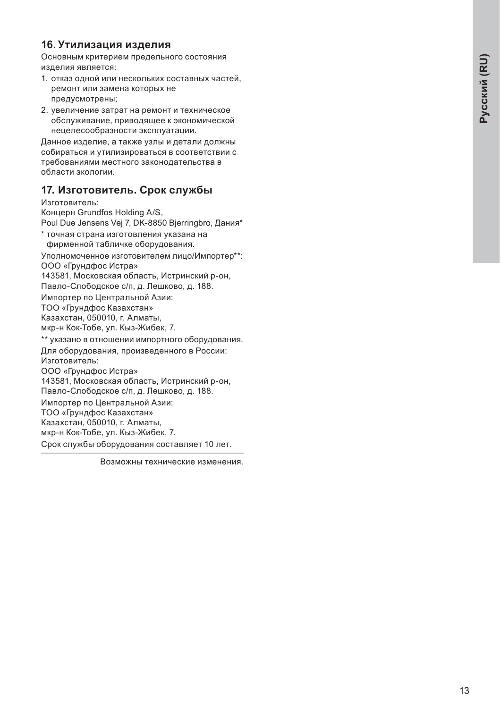## Pyccknň (RU) Pyccknň (RU)

#### 16. Утилизация изделия

Основным критерием предельного состояния изделия является:

- 1. отказ одной или нескольких составных частей, ремонт или замена которых не предусмотрены;
- 2. увеличение затрат на ремонт и техническое обслуживание, приводящее к экономической нецелесообразности эксплуатации.

Данное изделие, а также узлы и детали должны собираться и утилизироваться в соответствии с требованиями местного законодательства в области экологии.

#### 17. Изготовитель. Срок службы

Изготовитель:

Концерн Grundfos Holding A/S,

Poul Due Jensens Vej 7, DK-8850 Bjerringbro, Дания\*

\* точная страна изготовления указана на фирменной табличке оборудования.

Уполномоченное изготовителем лицо/Импортер\*\*: ООО «Грундфос Истра»

143581. Московская область. Истринский р-он.

Павло-Слободское с/п. д. Лешково, д. 188.

Импортер по Центральной Азии:

ТОО «Грундфос Казахстан»

Казахстан, 050010, г. Алматы,

мкр-н Кок-Тобе, ул. Кыз-Жибек, 7.

\*\* указано в отношении импортного оборудования. Для оборудования, произведенного в России: Изготовитель: ООО «Грундфос Истра» 143581, Московская область, Истринский р-он, Павло-Слободское с/п, д. Лешково, д. 188. Импортер по Центральной Азии: ТОО «Грундфос Казахстан» Казахстан, 050010, г. Алматы, мкр-н Кок-Тобе, ул. Кыз-Жибек, 7. Срок службы оборудования составляет 10 лет.

Возможны технические изменения.